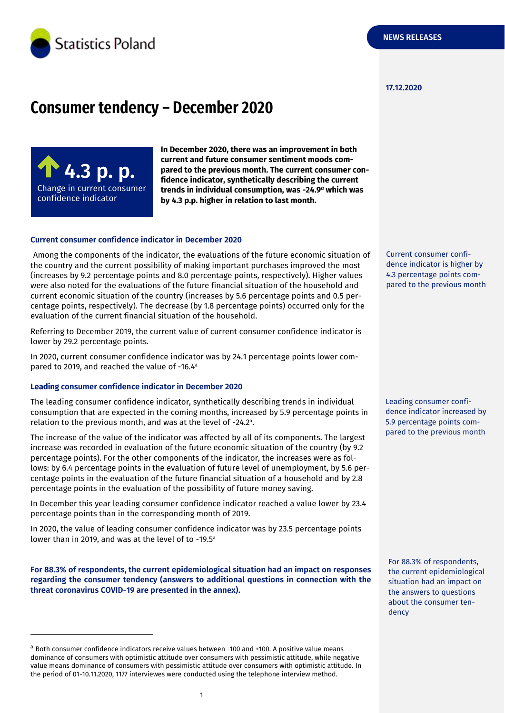

#### **17.12.2020**

# **Consumer tendency – December 2020**



-

**In December 2020, there was an improvement in both current and future consumer sentiment moods compared to the previous month. The current consumer confidence indicator, synthetically describing the current trends in individual consumption, was -24.9** *<sup>a</sup>* **which was by 4.3 p.p. higher in relation to last month.**

#### **Current consumer confidence indicator in December 2020**

Among the components of the indicator, the evaluations of the future economic situation of the country and the current possibility of making important purchases improved the most (increases by 9.2 percentage points and 8.0 percentage points, respectively). Higher values were also noted for the evaluations of the future financial situation of the household and current economic situation of the country (increases by 5.6 percentage points and 0.5 percentage points, respectively). The decrease (by 1.8 percentage points) occurred only for the evaluation of the current financial situation of the household.

Referring to December 2019, the current value of current consumer confidence indicator is lower by 29.2 percentage points.

In 2020, current consumer confidence indicator was by 24.1 percentage points lower compared to 2019, and reached the value of -16.4<sup>a</sup>

#### **Leading consumer confidence indicator in December 2020**

The leading consumer confidence indicator, synthetically describing trends in individual consumption that are expected in the coming months, increased by 5.9 percentage points in relation to the previous month, and was at the level of -24.2 a .

The increase of the value of the indicator was affected by all of its components. The largest increase was recorded in evaluation of the future economic situation of the country (by 9.2 percentage points). For the other components of the indicator, the increases were as follows: by 6.4 percentage points in the evaluation of future level of unemployment, by 5.6 percentage points in the evaluation of the future financial situation of a household and by 2.8 percentage points in the evaluation of the possibility of future money saving.

In December this year leading consumer confidence indicator reached a value lower by 23.4 percentage points than in the corresponding month of 2019.

In 2020, the value of leading consumer confidence indicator was by 23.5 percentage points lower than in 2019, and was at the level of to -19.5<sup>a</sup>

**For 88.3% of respondents, the current epidemiological situation had an impact on responses regarding the consumer tendency (answers to additional questions in connection with the threat coronavirus COVID-19 are presented in the annex).** 

Current consumer confidence indicator is higher by 4.3 percentage points compared to the previous month

Leading consumer confidence indicator increased by 5.9 percentage points compared to the previous month

For 88.3% of respondents, the current epidemiological situation had an impact on the answers to questions about the consumer tendency

<sup>&</sup>lt;sup>a</sup> Both consumer confidence indicators receive values between -100 and +100. A positive value means dominance of consumers with optimistic attitude over consumers with pessimistic attitude, while negative value means dominance of consumers with pessimistic attitude over consumers with optimistic attitude. In the period of 01-10.11.2020, 1177 interviewes were conducted using the telephone interview method.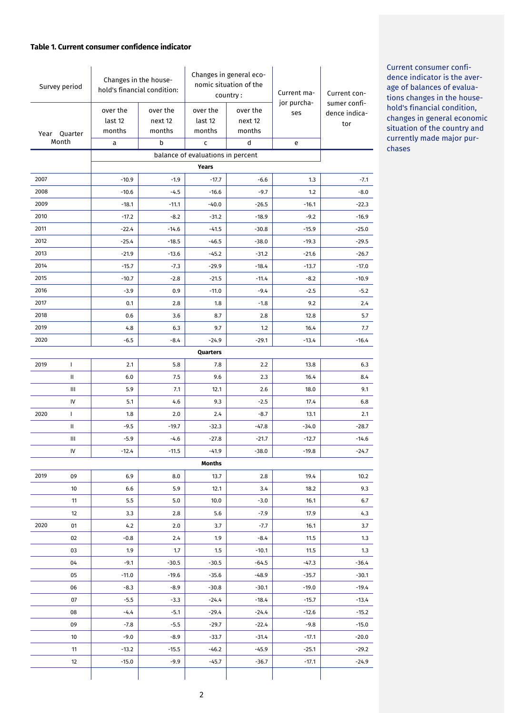#### **Table 1. Current consumer confidence indicator**

| Survey period         |                                   | Changes in the house-<br>hold's financial condition: |                               | Changes in general eco-<br>nomic situation of the<br>country: |                               | Current ma-        | Current con-                         |
|-----------------------|-----------------------------------|------------------------------------------------------|-------------------------------|---------------------------------------------------------------|-------------------------------|--------------------|--------------------------------------|
| Year Quarter<br>Month |                                   | over the<br>last 12<br>months                        | over the<br>next 12<br>months | over the<br>last 12<br>months                                 | over the<br>next 12<br>months | jor purcha-<br>ses | sumer confi-<br>dence indica-<br>tor |
|                       |                                   | a                                                    | b                             | C                                                             | d                             | e                  |                                      |
|                       | balance of evaluations in percent |                                                      |                               |                                                               |                               |                    |                                      |
|                       |                                   |                                                      |                               | <b>Years</b>                                                  |                               |                    |                                      |
| 2007<br>2008          |                                   | $-10.9$<br>$-10.6$                                   | $-1.9$<br>$-4.5$              | $-17.7$<br>$-16.6$                                            | $-6.6$<br>$-9.7$              | 1.3<br>1.2         | $-7.1$<br>$-8.0$                     |
| 2009                  |                                   | $-18.1$                                              | $-11.1$                       | $-40.0$                                                       | $-26.5$                       | $-16.1$            | $-22.3$                              |
| 2010                  |                                   | $-17.2$                                              | $-8.2$                        | $-31.2$                                                       | $-18.9$                       | $-9.2$             | $-16.9$                              |
| 2011                  |                                   | $-22.4$                                              | $-14.6$                       | $-41.5$                                                       | $-30.8$                       | $-15.9$            | $-25.0$                              |
| 2012                  |                                   | $-25.4$                                              | $-18.5$                       | $-46.5$                                                       | $-38.0$                       | $-19.3$            | $-29.5$                              |
| 2013                  |                                   | $-21.9$                                              | $-13.6$                       | $-45.2$                                                       | $-31.2$                       | $-21.6$            | $-26.7$                              |
| 2014                  |                                   | $-15.7$                                              | $-7.3$                        | $-29.9$                                                       | $-18.4$                       | $-13.7$            | $-17.0$                              |
| 2015                  |                                   | $-10.7$                                              | $-2.8$                        | $-21.5$                                                       | $-11.4$                       | $-8.2$             | $-10.9$                              |
| 2016                  |                                   | $-3.9$                                               | 0.9                           | $-11.0$                                                       | $-9.4$                        | $-2.5$             | $-5.2$                               |
| 2017                  |                                   | 0.1                                                  | 2.8                           | 1.8                                                           | $-1.8$                        | 9.2                | 2.4                                  |
| 2018                  |                                   | 0.6                                                  | 3.6                           | 8.7                                                           | 2.8                           | 12.8               | 5.7                                  |
| 2019                  |                                   | 4.8                                                  | 6.3                           | 9.7                                                           | 1.2                           | 16.4               | 7.7                                  |
| 2020                  |                                   | $-6.5$                                               | $-8.4$                        | $-24.9$                                                       | $-29.1$                       | $-13.4$            | $-16.4$                              |
|                       |                                   |                                                      |                               | Quarters                                                      |                               |                    |                                      |
| 2019                  | $\mathbf{I}$                      | 2.1                                                  | 5.8                           | 7.8                                                           | 2.2                           | 13.8               | 6.3                                  |
|                       | Ш                                 | 6.0                                                  | 7.5                           | 9.6                                                           | 2.3                           | 16.4               | 8.4                                  |
|                       | Ш                                 | 5.9                                                  | 7.1                           | 12.1                                                          | 2.6                           | 18.0               | 9.1                                  |
|                       | IV                                | 5.1                                                  | 4.6                           | 9.3                                                           | $-2.5$                        | 17.4               | 6.8                                  |
| 2020                  | $\mathbf{I}$                      | 1.8                                                  | 2.0                           | 2.4                                                           | $-8.7$                        | 13.1               | 2.1                                  |
|                       | Ш                                 | $-9.5$                                               | $-19.7$                       | $-32.3$                                                       | $-47.8$                       | $-34.0$            | $-28.7$                              |
|                       | Ш                                 | $-5.9$                                               | $-4.6$                        | $-27.8$                                                       | $-21.7$                       | $-12.7$            | $-14.6$                              |
|                       | IV                                | $-12.4$                                              | $-11.5$                       | $-41.9$                                                       | $-38.0$                       | $-19.8$            | $-24.7$                              |
|                       |                                   |                                                      |                               | <b>Months</b>                                                 |                               |                    |                                      |
| 2019                  | 09                                | 6.9                                                  | 8.0                           | 13.7                                                          | 2.8                           | 19.4               | 10.2                                 |
|                       | 10                                | 6.6                                                  | 5.9                           | 12.1                                                          | 3.4                           | 18.2               | 9.3                                  |
|                       | 11                                | 5.5                                                  | 5.0                           | 10.0                                                          | $-3.0$                        | 16.1               | 6.7                                  |
|                       | 12                                | 3.3                                                  | 2.8                           | 5.6                                                           | $-7.9$                        | 17.9               | 4.3                                  |
| 2020                  | 01                                | 4.2                                                  | 2.0                           | 3.7                                                           | $-7.7$                        | 16.1               | 3.7                                  |
|                       | 02                                | $-0.8$                                               | 2.4                           | 1.9                                                           | $-8.4$                        | 11.5               | 1.3                                  |
|                       | 03                                | 1.9                                                  | 1.7                           | 1.5                                                           | $-10.1$                       | 11.5               | 1.3                                  |
|                       | 04                                | $-9.1$                                               | $-30.5$                       | $-30.5$                                                       | $-64.5$                       | $-47.3$            | $-36.4$                              |
|                       | 05                                | $-11.0$                                              | $-19.6$                       | $-35.6$                                                       | $-48.9$                       | $-35.7$            | $-30.1$                              |
|                       | 06                                | $-8.3$                                               | $-8.9$                        | $-30.8$                                                       | $-30.1$                       | $-19.0$            | $-19.4$                              |
|                       | 07                                | $-5.5$                                               | $-3.3$                        | $-24.4$                                                       | $-18.4$                       | $-15.7$            | $-13.4$                              |
|                       | 08                                | $-4.4$                                               | $-5.1$                        | $-29.4$                                                       | $-24.4$                       | $-12.6$            | $-15.2$                              |
|                       | 09                                | $-7.8$                                               | $-5.5$                        | $-29.7$                                                       | $-22.4$                       | $-9.8$             | $-15.0$                              |
|                       | 10                                | $-9.0$                                               | $-8.9$                        | $-33.7$                                                       | $-31.4$                       | $-17.1$            | $-20.0$                              |
|                       | 11                                | $-13.2$                                              | $-15.5$                       | $-46.2$                                                       | $-45.9$                       | $-25.1$            | $-29.2$                              |
|                       | 12                                | $-15.0$                                              | $-9.9$                        | $-45.7$                                                       | $-36.7$                       | $-17.1$            | $-24.9$                              |
|                       |                                   |                                                      |                               |                                                               |                               |                    |                                      |

Current consumer confidence indicator is the average of balances of evaluations changes in the household's financial condition, changes in general economic situation of the country and currently made major purchases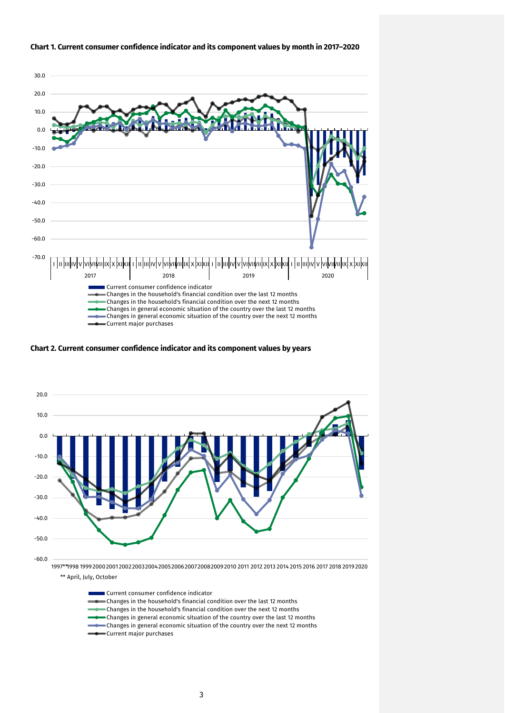

#### **Chart 1. Current consumer confidence indicator and its component values by month in 2017–2020**

**Chart 2. Current consumer confidence indicator and its component values by years**



\*\* April, July, October

| Current consumer confidence indicator                                               |
|-------------------------------------------------------------------------------------|
| Changes in the household's financial condition over the last 12 months              |
| Changes in the household's financial condition over the next 12 months              |
| Changes in general economic situation of the country over the last 12 months        |
| <b>Changes</b> in general economic situation of the country over the next 12 months |
| Current major purchases                                                             |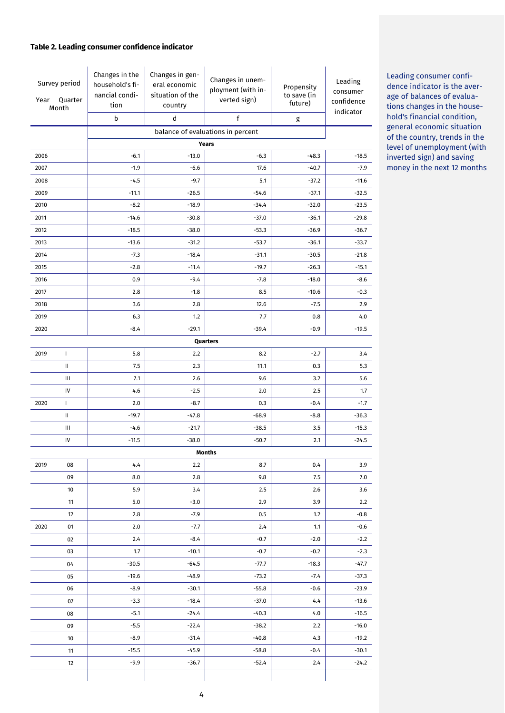#### **Table 2. Leading consumer confidence indicator**

| Survey period<br>Quarter<br>Year<br>Month |                                    | Changes in the<br>household's fi-<br>nancial condi-<br>tion<br>b | Changes in gen-<br>eral economic<br>situation of the<br>country<br>$\operatorname{\mathsf{d}}$ | Changes in unem-<br>ployment (with in-<br>verted sign)<br>$\mathsf f$ | Propensity<br>to save (in<br>future)<br>g | Leading<br>consumer<br>confidence<br>indicator |
|-------------------------------------------|------------------------------------|------------------------------------------------------------------|------------------------------------------------------------------------------------------------|-----------------------------------------------------------------------|-------------------------------------------|------------------------------------------------|
| balance of evaluations in percent         |                                    |                                                                  |                                                                                                |                                                                       |                                           |                                                |
|                                           | <b>Years</b>                       |                                                                  |                                                                                                |                                                                       |                                           |                                                |
| 2006                                      |                                    | $-6.1$                                                           | $-13.0$                                                                                        | $-6.3$                                                                | $-48.3$                                   | $-18.5$                                        |
| 2007                                      |                                    | $-1.9$                                                           | $-6.6$                                                                                         | 17.6                                                                  | $-40.7$                                   | $-7.9$                                         |
| 2008                                      |                                    | $-4.5$                                                           | $-9.7$                                                                                         | 5.1                                                                   | $-37.2$                                   | $-11.6$                                        |
| 2009                                      |                                    | $-11.1$                                                          | $-26.5$                                                                                        | $-54.6$                                                               | $-37.1$                                   | $-32.5$                                        |
| 2010                                      |                                    | $-8.2$                                                           | $-18.9$                                                                                        | $-34.4$                                                               | $-32.0$                                   | $-23.5$                                        |
| 2011                                      |                                    | $-14.6$                                                          | $-30.8$                                                                                        | $-37.0$                                                               | $-36.1$                                   | $-29.8$                                        |
| 2012                                      |                                    | $-18.5$                                                          | $-38.0$                                                                                        | $-53.3$                                                               | $-36.9$                                   | $-36.7$                                        |
| 2013                                      |                                    | $-13.6$                                                          | $-31.2$                                                                                        | $-53.7$                                                               | $-36.1$                                   | $-33.7$                                        |
| 2014                                      |                                    | $-7.3$                                                           | $-18.4$                                                                                        | $-31.1$                                                               | $-30.5$                                   | $-21.8$                                        |
| 2015                                      |                                    | $-2.8$                                                           | $-11.4$                                                                                        | $-19.7$                                                               | $-26.3$                                   | $-15.1$                                        |
| 2016                                      |                                    | 0.9                                                              | $-9.4$                                                                                         | $-7.8$                                                                | $-18.0$                                   | $-8.6$                                         |
| 2017                                      |                                    | 2.8                                                              | $-1.8$                                                                                         | 8.5                                                                   | $-10.6$                                   | $-0.3$                                         |
| 2018                                      |                                    | 3.6                                                              | 2.8                                                                                            | 12.6                                                                  | $-7.5$                                    | 2.9                                            |
| 2019                                      |                                    | 6.3                                                              | 1.2                                                                                            | 7.7                                                                   | 0.8                                       | 4.0                                            |
| 2020                                      |                                    | $-8.4$                                                           | $-29.1$                                                                                        | $-39.4$                                                               | $-0.9$                                    | $-19.5$                                        |
|                                           |                                    |                                                                  |                                                                                                | Quarters                                                              |                                           |                                                |
| 2019                                      | $\mathbf{I}$                       | 5.8                                                              | 2.2                                                                                            | 8.2                                                                   | $-2.7$                                    | 3.4                                            |
|                                           | Ш                                  | 7.5                                                              | 2.3                                                                                            | 11.1                                                                  | 0.3                                       | 5.3                                            |
|                                           | $\ensuremath{\mathsf{III}}\xspace$ | 7.1                                                              | 2.6                                                                                            | 9.6                                                                   | 3.2                                       | 5.6                                            |
|                                           | IV                                 | 4.6                                                              | $-2.5$                                                                                         | 2.0                                                                   | 2.5                                       | 1.7                                            |
| 2020                                      | L                                  | 2.0                                                              | $-8.7$                                                                                         | 0.3                                                                   | $-0.4$                                    | $-1.7$                                         |
|                                           | Ш                                  | $-19.7$                                                          | $-47.8$                                                                                        | $-68.9$                                                               | $-8.8$                                    | $-36.3$                                        |
|                                           | Ш                                  | $-4.6$                                                           | $-21.7$<br>$-38.0$                                                                             | $-38.5$<br>$-50.7$                                                    | 3.5<br>2.1                                | $-15.3$                                        |
|                                           | ${\sf IV}$                         | $-11.5$                                                          | $-24.5$                                                                                        |                                                                       |                                           |                                                |
|                                           |                                    |                                                                  |                                                                                                | Months                                                                |                                           |                                                |
| 2019                                      | 08<br>09                           | 4.4<br>8.0                                                       | 2.2<br>2.8                                                                                     | 8.7<br>9.8                                                            | 0.4<br>7.5                                | 3.9<br>7.0                                     |
|                                           | 10                                 | 5.9                                                              | 3.4                                                                                            | 2.5                                                                   | 2.6                                       | 3.6                                            |
|                                           | 11                                 | 5.0                                                              | $-3.0$                                                                                         | 2.9                                                                   | 3.9                                       | 2.2                                            |
|                                           | 12                                 | 2.8                                                              | $-7.9$                                                                                         | 0.5                                                                   | 1.2                                       | $-0.8$                                         |
| 2020                                      | 01                                 | 2.0                                                              | -7.7                                                                                           | 2.4                                                                   | 1.1                                       | $-0.6$                                         |
|                                           | 02                                 | 2.4                                                              | $-8.4$                                                                                         | $-0.7$                                                                | $-2.0$                                    | $-2.2$                                         |
|                                           | 03                                 | 1.7                                                              | $-10.1$                                                                                        | $-0.7$                                                                | $-0.2$                                    | $-2.3$                                         |
|                                           | 04                                 | $-30.5$                                                          | $-64.5$                                                                                        | -77.7                                                                 | $-18.3$                                   | -47.7                                          |
|                                           | 05                                 | $-19.6$                                                          | $-48.9$                                                                                        | $-73.2$                                                               | $-7.4$                                    | $-37.3$                                        |
|                                           | 06                                 | $-8.9$                                                           | $-30.1$                                                                                        | $-55.8$                                                               | $-0.6$                                    | $-23.9$                                        |
|                                           | 07                                 | $-3.3$                                                           | $-18.4$                                                                                        | $-37.0$                                                               | 4.4                                       | $-13.6$                                        |
|                                           | 08                                 | $-5.1$                                                           | $-24.4$                                                                                        | $-40.3$                                                               | 4.0                                       | $-16.5$                                        |
|                                           | 09                                 | $-5.5$                                                           | $-22.4$                                                                                        | $-38.2$                                                               | 2.2                                       | $-16.0$                                        |
|                                           | 10                                 | -8.9                                                             | $-31.4$                                                                                        | $-40.8$                                                               | 4.3                                       | $-19.2$                                        |
|                                           | 11                                 | $-15.5$                                                          | $-45.9$                                                                                        | $-58.8$                                                               | $-0.4$                                    | $-30.1$                                        |
|                                           | 12                                 | $-9.9$                                                           | $-36.7$                                                                                        | $-52.4$                                                               | 2.4                                       | $-24.2$                                        |
|                                           |                                    |                                                                  |                                                                                                |                                                                       |                                           |                                                |

Leading consumer confidence indicator is the average of balances of evaluations changes in the household's financial condition, general economic situation of the country, trends in the level of unemployment (with inverted sign) and saving money in the next 12 months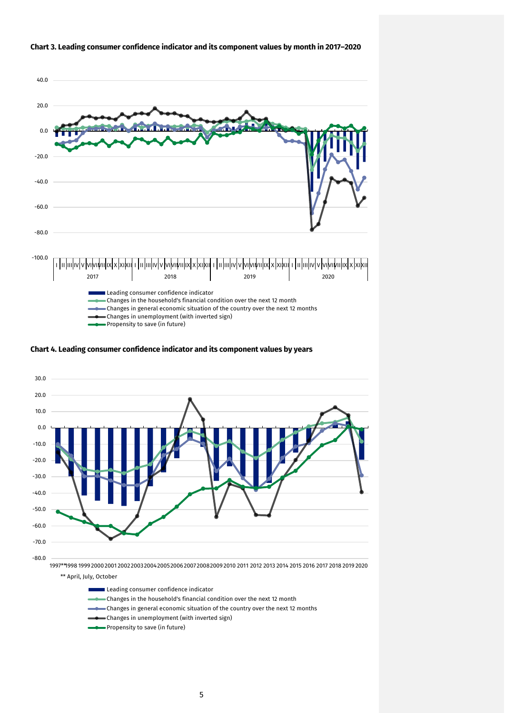

#### **Chart 3. Leading consumer confidence indicator and its component values by month in 2017–2020**





- Leading consumer confidence indicator
- Changes in the household's financial condition over the next 12 month
- Changes in general economic situation of the country over the next 12 months
- Changes in unemployment (with inverted sign)
- Propensity to save (in future)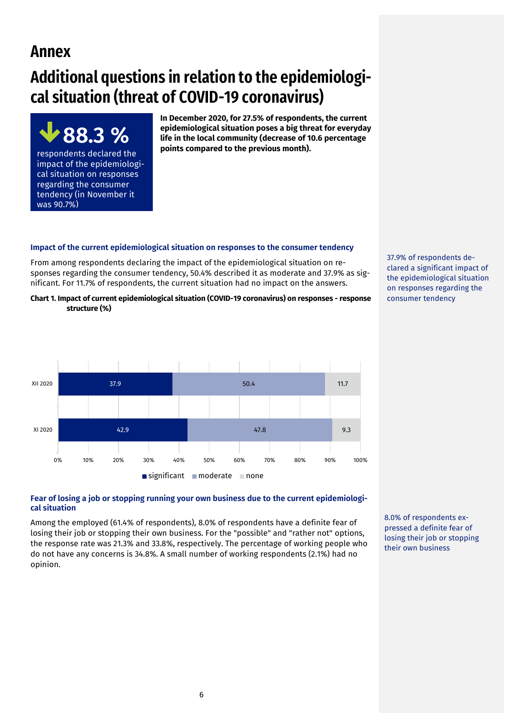# **Annex**

# **Additional questions in relation to the epidemiological situation (threat of COVID-19 coronavirus)**



**In December 2020, for 27.5% of respondents, the current epidemiological situation poses a big threat for everyday life in the local community (decrease of 10.6 percentage points compared to the previous month).** 

# **Impact of the current epidemiological situation on responses to the consumer tendency**

From among respondents declaring the impact of the epidemiological situation on responses regarding the consumer tendency, 50.4% described it as moderate and 37.9% as significant. For 11.7% of respondents, the current situation had no impact on the answers.

**Chart 1. Impact of current epidemiological situation (COVID-19 coronavirus) on responses - response structure (%)**



# **Fear of losing a job or stopping running your own business due to the current epidemiological situation**

Among the employed (61.4% of respondents), 8.0% of respondents have a definite fear of losing their job or stopping their own business. For the "possible" and "rather not" options, the response rate was 21.3% and 33.8%, respectively. The percentage of working people who do not have any concerns is 34.8%. A small number of working respondents (2.1%) had no opinion.

37.9% of respondents declared a significant impact of the epidemiological situation on responses regarding the

consumer tendency

8.0% of respondents expressed a definite fear of losing their job or stopping their own business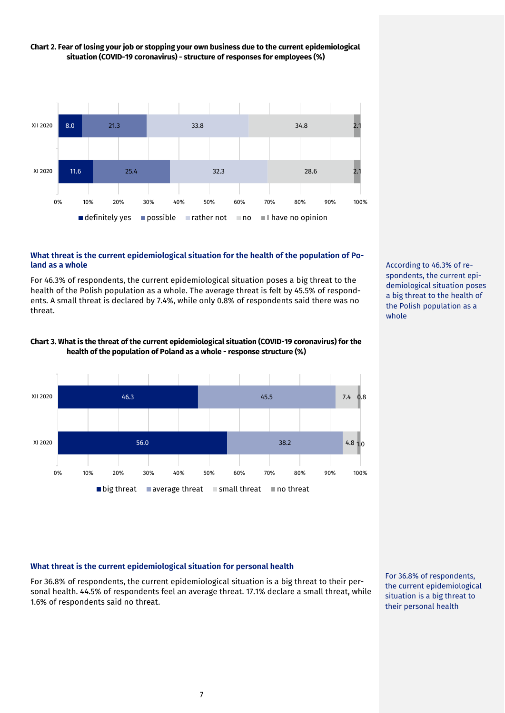

# **Chart 2. Fear of losing your job or stopping your own business due to the current epidemiological situation (COVID-19 coronavirus) - structure of responses for employees (%)**

#### **What threat is the current epidemiological situation for the health of the population of Poland as a whole**

For 46.3% of respondents, the current epidemiological situation poses a big threat to the health of the Polish population as a whole. The average threat is felt by 45.5% of respondents. A small threat is declared by 7.4%, while only 0.8% of respondents said there was no threat.



#### **Chart 3. What is the threat of the current epidemiological situation (COVID-19 coronavirus) for the health of the population of Poland as a whole - response structure (%)**

## **What threat is the current epidemiological situation for personal health**

For 36.8% of respondents, the current epidemiological situation is a big threat to their personal health. 44.5% of respondents feel an average threat. 17.1% declare a small threat, while 1.6% of respondents said no threat.

For 36.8% of respondents, the current epidemiological situation is a big threat to their personal health

According to 46.3% of respondents, the current epidemiological situation poses a big threat to the health of the Polish population as a whole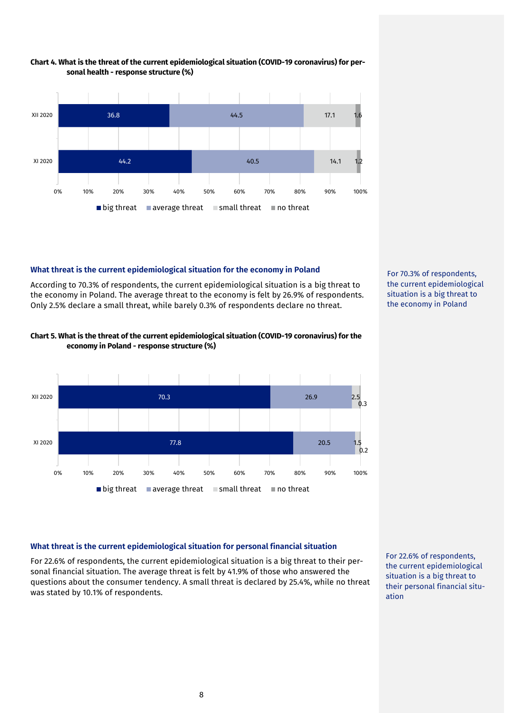

#### **Chart 4. What is the threat of the current epidemiological situation (COVID-19 coronavirus) for personal health - response structure (%)**

## **What threat is the current epidemiological situation for the economy in Poland**

According to 70.3% of respondents, the current epidemiological situation is a big threat to the economy in Poland. The average threat to the economy is felt by 26.9% of respondents. Only 2.5% declare a small threat, while barely 0.3% of respondents declare no threat.



#### **Chart 5. What is the threat of the current epidemiological situation (COVID-19 coronavirus) for the economy in Poland - response structure (%)**



## **What threat is the current epidemiological situation for personal financial situation**

For 22.6% of respondents, the current epidemiological situation is a big threat to their personal financial situation. The average threat is felt by 41.9% of those who answered the questions about the consumer tendency. A small threat is declared by 25.4%, while no threat was stated by 10.1% of respondents.

For 22.6% of respondents, the current epidemiological situation is a big threat to their personal financial situation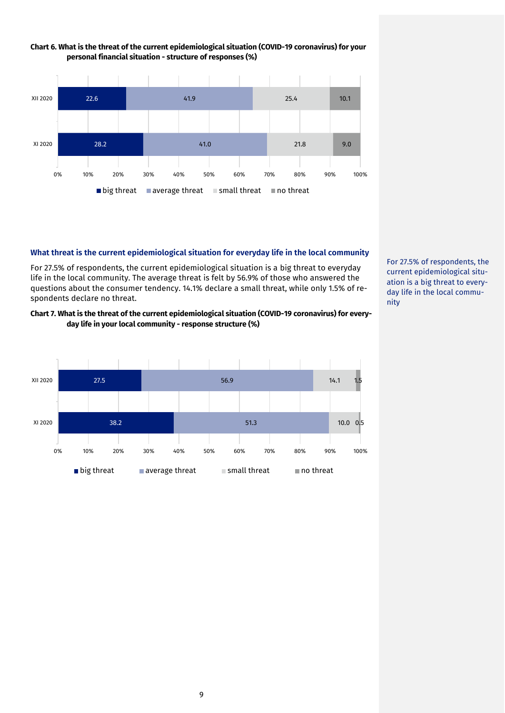

#### **Chart 6. What is the threat of the current epidemiological situation (COVID-19 coronavirus) for your personal financial situation - structure of responses (%)**

#### **What threat is the current epidemiological situation for everyday life in the local community**

For 27.5% of respondents, the current epidemiological situation is a big threat to everyday life in the local community. The average threat is felt by 56.9% of those who answered the questions about the consumer tendency. 14.1% declare a small threat, while only 1.5% of respondents declare no threat.

#### **Chart 7. What is the threat of the current epidemiological situation (COVID-19 coronavirus) for everyday life in your local community - response structure (%)**



For 27.5% of respondents, the current epidemiological situation is a big threat to everyday life in the local community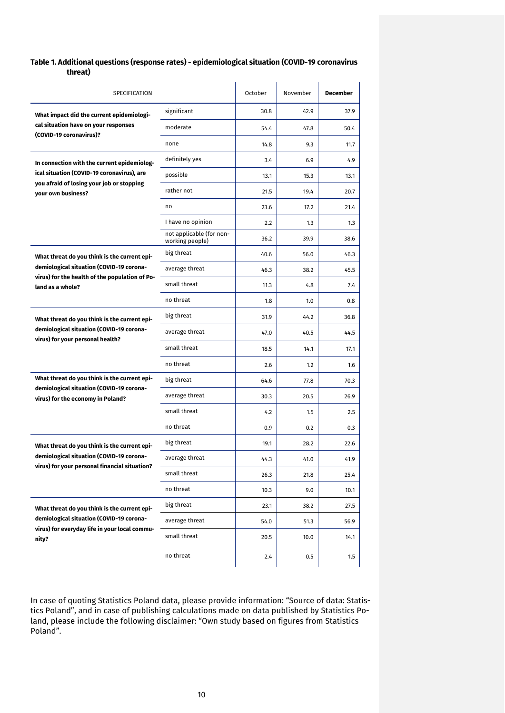#### **Table 1. Additional questions (response rates) - epidemiological situation (COVID-19 coronavirus threat)**

| SPECIFICATION                                                                             |                                             | October | November | <b>December</b> |
|-------------------------------------------------------------------------------------------|---------------------------------------------|---------|----------|-----------------|
| What impact did the current epidemiologi-                                                 | significant                                 | 30.8    | 42.9     | 37.9            |
| cal situation have on your responses                                                      | moderate                                    | 54.4    | 47.8     | 50.4            |
| (COVID-19 coronavirus)?                                                                   | none                                        | 14.8    | 9.3      | 11.7            |
| In connection with the current epidemiolog-                                               | definitely yes                              | 3.4     | 6.9      | 4.9             |
| ical situation (COVID-19 coronavirus), are                                                | possible                                    | 13.1    | 15.3     | 13.1            |
| you afraid of losing your job or stopping<br>vour own business?                           | rather not                                  | 21.5    | 19.4     | 20.7            |
|                                                                                           | no                                          | 23.6    | 17.2     | 21.4            |
|                                                                                           | I have no opinion                           | 2.2     | 1.3      | 1.3             |
|                                                                                           | not applicable (for non-<br>working people) | 36.2    | 39.9     | 38.6            |
| What threat do you think is the current epi-                                              | big threat                                  | 40.6    | 56.0     | 46.3            |
| demiological situation (COVID-19 corona-                                                  | average threat                              | 46.3    | 38.2     | 45.5            |
| virus) for the health of the population of Po-<br>land as a whole?                        | small threat                                | 11.3    | 4.8      | 7.4             |
|                                                                                           | no threat                                   | 1.8     | 1.0      | 0.8             |
| What threat do you think is the current epi-                                              | big threat                                  | 31.9    | 44.2     | 36.8            |
| demiological situation (COVID-19 corona-<br>virus) for your personal health?              | average threat                              | 47.0    | 40.5     | 44.5            |
|                                                                                           | small threat                                | 18.5    | 14.1     | 17.1            |
|                                                                                           | no threat                                   | 2.6     | 1.2      | 1.6             |
| What threat do you think is the current epi-                                              | big threat                                  | 64.6    | 77.8     | 70.3            |
| demiological situation (COVID-19 corona-<br>virus) for the economy in Poland?             | average threat                              | 30.3    | 20.5     | 26.9            |
|                                                                                           | small threat                                | 4.2     | 1.5      | 2.5             |
|                                                                                           | no threat                                   | 0.9     | 0.2      | 0.3             |
| What threat do you think is the current epi-                                              | big threat                                  | 19.1    | 28.2     | 22.6            |
| demiological situation (COVID-19 corona-<br>virus) for your personal financial situation? | average threat                              | 44.3    | 41.0     | 41.9            |
|                                                                                           | small threat                                | 26.3    | 21.8     | 25.4            |
|                                                                                           | no threat                                   | 10.3    | 9.0      | 10.1            |
| What threat do you think is the current epi-                                              | big threat                                  | 23.1    | 38.2     | 27.5            |
| demiological situation (COVID-19 corona-<br>virus) for everyday life in your local commu- | average threat                              | 54.0    | 51.3     | 56.9            |
| nity?                                                                                     | small threat                                | 20.5    | 10.0     | 14.1            |
|                                                                                           | no threat                                   | 2.4     | 0.5      | 1.5             |

In case of quoting Statistics Poland data, please provide information: "Source of data: Statistics Poland", and in case of publishing calculations made on data published by Statistics Poland, please include the following disclaimer: "Own study based on figures from Statistics Poland".